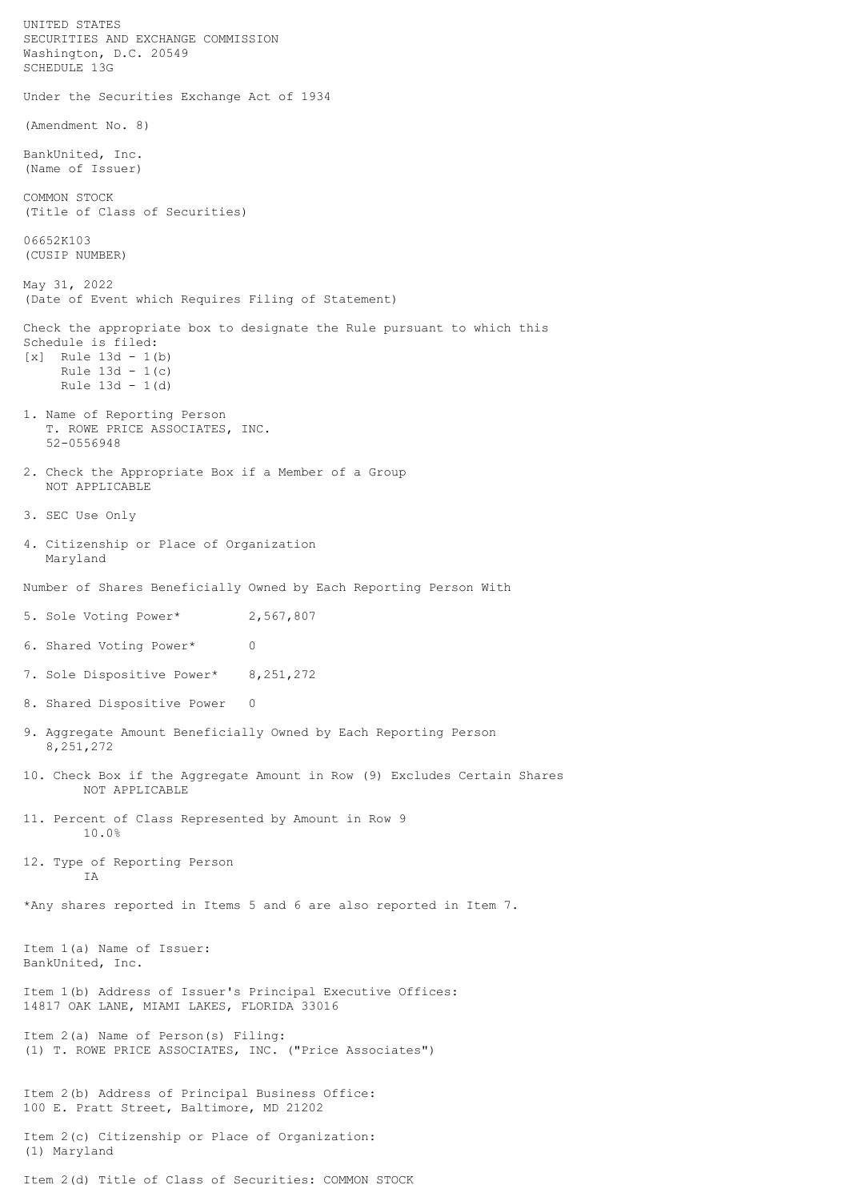UNITED STATES SECURITIES AND EXCHANGE COMMISSION Washington, D.C. 20549 SCHEDULE 13G Under the Securities Exchange Act of 1934 (Amendment No. 8) BankUnited, Inc. (Name of Issuer) COMMON STOCK (Title of Class of Securities) 06652K103 (CUSIP NUMBER) May 31, 2022 (Date of Event which Requires Filing of Statement) Check the appropriate box to designate the Rule pursuant to which this Schedule is filed:  $[x]$  Rule 13d - 1(b) Rule 13d - 1(c) Rule 13d - 1(d) 1. Name of Reporting Person T. ROWE PRICE ASSOCIATES, INC. 52-0556948 2. Check the Appropriate Box if a Member of a Group NOT APPLICABLE 3. SEC Use Only 4. Citizenship or Place of Organization Maryland Number of Shares Beneficially Owned by Each Reporting Person With 5. Sole Voting Power\* 2,567,807 6. Shared Voting Power\* 0 7. Sole Dispositive Power\* 8,251,272 8. Shared Dispositive Power 0 9. Aggregate Amount Beneficially Owned by Each Reporting Person 8,251,272 10. Check Box if the Aggregate Amount in Row (9) Excludes Certain Shares NOT APPLICABLE 11. Percent of Class Represented by Amount in Row 9 10.0% 12. Type of Reporting Person IA \*Any shares reported in Items 5 and 6 are also reported in Item 7. Item 1(a) Name of Issuer: BankUnited, Inc. Item 1(b) Address of Issuer's Principal Executive Offices: 14817 OAK LANE, MIAMI LAKES, FLORIDA 33016 Item 2(a) Name of Person(s) Filing: (1) T. ROWE PRICE ASSOCIATES, INC. ("Price Associates") Item 2(b) Address of Principal Business Office: 100 E. Pratt Street, Baltimore, MD 21202 Item 2(c) Citizenship or Place of Organization: (1) Maryland Item 2(d) Title of Class of Securities: COMMON STOCK